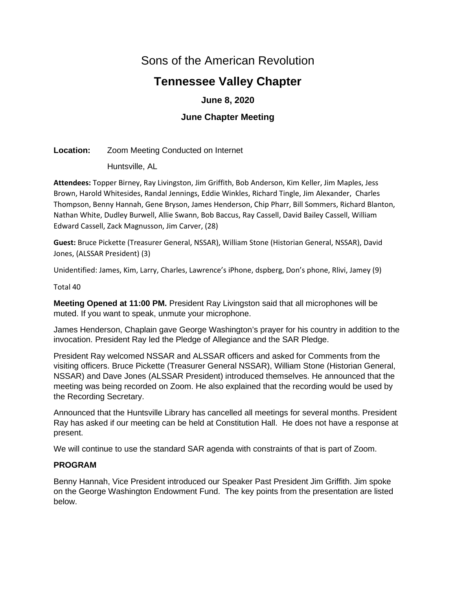# Sons of the American Revolution

# **Tennessee Valley Chapter**

# **June 8, 2020**

# **June Chapter Meeting**

# **Location:** Zoom Meeting Conducted on Internet

Huntsville, AL

**Attendees:** Topper Birney, Ray Livingston, Jim Griffith, Bob Anderson, Kim Keller, Jim Maples, Jess Brown, Harold Whitesides, Randal Jennings, Eddie Winkles, Richard Tingle, Jim Alexander, Charles Thompson, Benny Hannah, Gene Bryson, James Henderson, Chip Pharr, Bill Sommers, Richard Blanton, Nathan White, Dudley Burwell, Allie Swann, Bob Baccus, Ray Cassell, David Bailey Cassell, William Edward Cassell, Zack Magnusson, Jim Carver, (28)

**Guest:** Bruce Pickette (Treasurer General, NSSAR), William Stone (Historian General, NSSAR), David Jones, (ALSSAR President) (3)

Unidentified: James, Kim, Larry, Charles, Lawrence's iPhone, dspberg, Don's phone, Rlivi, Jamey (9)

Total 40

**Meeting Opened at 11:00 PM.** President Ray Livingston said that all microphones will be muted. If you want to speak, unmute your microphone.

James Henderson, Chaplain gave George Washington's prayer for his country in addition to the invocation. President Ray led the Pledge of Allegiance and the SAR Pledge.

President Ray welcomed NSSAR and ALSSAR officers and asked for Comments from the visiting officers. Bruce Pickette (Treasurer General NSSAR), William Stone (Historian General, NSSAR) and Dave Jones (ALSSAR President) introduced themselves. He announced that the meeting was being recorded on Zoom. He also explained that the recording would be used by the Recording Secretary.

Announced that the Huntsville Library has cancelled all meetings for several months. President Ray has asked if our meeting can be held at Constitution Hall. He does not have a response at present.

We will continue to use the standard SAR agenda with constraints of that is part of Zoom.

# **PROGRAM**

Benny Hannah, Vice President introduced our Speaker Past President Jim Griffith. Jim spoke on the George Washington Endowment Fund. The key points from the presentation are listed below.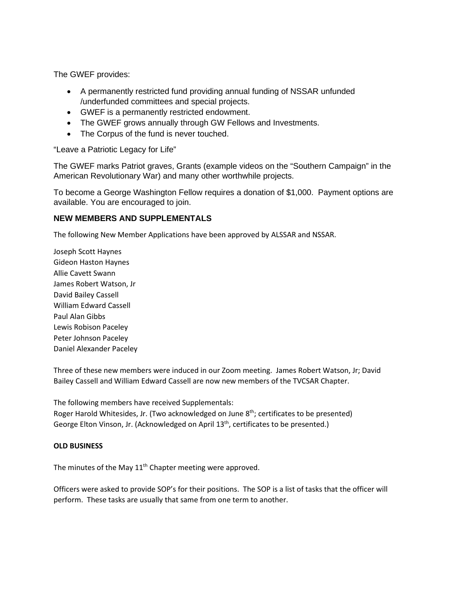The GWEF provides:

- A permanently restricted fund providing annual funding of NSSAR unfunded /underfunded committees and special projects.
- GWEF is a permanently restricted endowment.
- The GWEF grows annually through GW Fellows and Investments.
- The Corpus of the fund is never touched.

"Leave a Patriotic Legacy for Life"

The GWEF marks Patriot graves, Grants (example videos on the "Southern Campaign" in the American Revolutionary War) and many other worthwhile projects.

To become a George Washington Fellow requires a donation of \$1,000. Payment options are available. You are encouraged to join.

# **NEW MEMBERS AND SUPPLEMENTALS**

The following New Member Applications have been approved by ALSSAR and NSSAR.

Joseph Scott Haynes Gideon Haston Haynes Allie Cavett Swann James Robert Watson, Jr David Bailey Cassell William Edward Cassell Paul Alan Gibbs Lewis Robison Paceley Peter Johnson Paceley Daniel Alexander Paceley

Three of these new members were induced in our Zoom meeting. James Robert Watson, Jr; David Bailey Cassell and William Edward Cassell are now new members of the TVCSAR Chapter.

The following members have received Supplementals:

Roger Harold Whitesides, Jr. (Two acknowledged on June  $8<sup>th</sup>$ ; certificates to be presented) George Elton Vinson, Jr. (Acknowledged on April 13<sup>th</sup>, certificates to be presented.)

# **OLD BUSINESS**

The minutes of the May 11<sup>th</sup> Chapter meeting were approved.

Officers were asked to provide SOP's for their positions. The SOP is a list of tasks that the officer will perform. These tasks are usually that same from one term to another.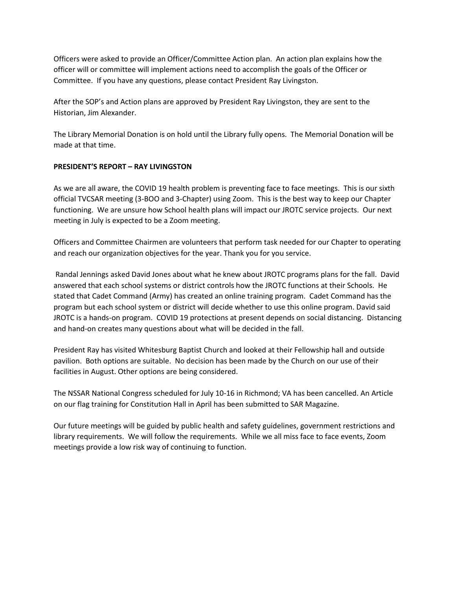Officers were asked to provide an Officer/Committee Action plan. An action plan explains how the officer will or committee will implement actions need to accomplish the goals of the Officer or Committee. If you have any questions, please contact President Ray Livingston.

After the SOP's and Action plans are approved by President Ray Livingston, they are sent to the Historian, Jim Alexander.

The Library Memorial Donation is on hold until the Library fully opens. The Memorial Donation will be made at that time.

# **PRESIDENT'S REPORT – RAY LIVINGSTON**

As we are all aware, the COVID 19 health problem is preventing face to face meetings. This is our sixth official TVCSAR meeting (3-BOO and 3-Chapter) using Zoom. This is the best way to keep our Chapter functioning. We are unsure how School health plans will impact our JROTC service projects. Our next meeting in July is expected to be a Zoom meeting.

Officers and Committee Chairmen are volunteers that perform task needed for our Chapter to operating and reach our organization objectives for the year. Thank you for you service.

Randal Jennings asked David Jones about what he knew about JROTC programs plans for the fall. David answered that each school systems or district controls how the JROTC functions at their Schools. He stated that Cadet Command (Army) has created an online training program. Cadet Command has the program but each school system or district will decide whether to use this online program. David said JROTC is a hands-on program. COVID 19 protections at present depends on social distancing. Distancing and hand-on creates many questions about what will be decided in the fall.

President Ray has visited Whitesburg Baptist Church and looked at their Fellowship hall and outside pavilion. Both options are suitable. No decision has been made by the Church on our use of their facilities in August. Other options are being considered.

The NSSAR National Congress scheduled for July 10-16 in Richmond; VA has been cancelled. An Article on our flag training for Constitution Hall in April has been submitted to SAR Magazine.

Our future meetings will be guided by public health and safety guidelines, government restrictions and library requirements. We will follow the requirements. While we all miss face to face events, Zoom meetings provide a low risk way of continuing to function.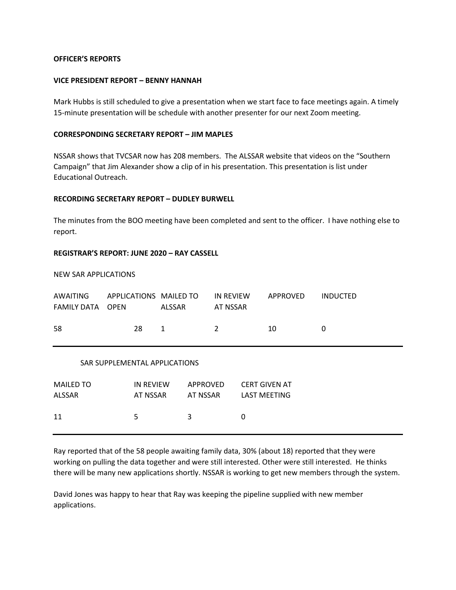## **OFFICER'S REPORTS**

#### **VICE PRESIDENT REPORT – BENNY HANNAH**

Mark Hubbs is still scheduled to give a presentation when we start face to face meetings again. A timely 15-minute presentation will be schedule with another presenter for our next Zoom meeting.

## **CORRESPONDING SECRETARY REPORT – JIM MAPLES**

NSSAR shows that TVCSAR now has 208 members. The ALSSAR website that videos on the "Southern Campaign" that Jim Alexander show a clip of in his presentation. This presentation is list under Educational Outreach.

#### **RECORDING SECRETARY REPORT – DUDLEY BURWELL**

The minutes from the BOO meeting have been completed and sent to the officer. I have nothing else to report.

## **REGISTRAR'S REPORT: JUNE 2020 – RAY CASSELL**

## NEW SAR APPLICATIONS

| AWAITING<br>FAMILY DATA           | APPLICATIONS MAILED TO<br><b>OPEN</b> | <b>ALSSAR</b>        | <b>IN REVIEW</b><br>AT NSSAR | APPROVED                                    | <b>INDUCTED</b> |
|-----------------------------------|---------------------------------------|----------------------|------------------------------|---------------------------------------------|-----------------|
| 58                                | 28                                    | 1                    | $\overline{2}$               | 10                                          | 0               |
| SAR SUPPLEMENTAL APPLICATIONS     |                                       |                      |                              |                                             |                 |
| <b>MAILED TO</b><br><b>ALSSAR</b> | <b>IN REVIEW</b><br>AT NSSAR          | APPROVED<br>AT NSSAR |                              | <b>CERT GIVEN AT</b><br><b>LAST MEETING</b> |                 |
| 11                                | 5                                     | 3                    | 0                            |                                             |                 |

Ray reported that of the 58 people awaiting family data, 30% (about 18) reported that they were working on pulling the data together and were still interested. Other were still interested. He thinks there will be many new applications shortly. NSSAR is working to get new members through the system.

David Jones was happy to hear that Ray was keeping the pipeline supplied with new member applications.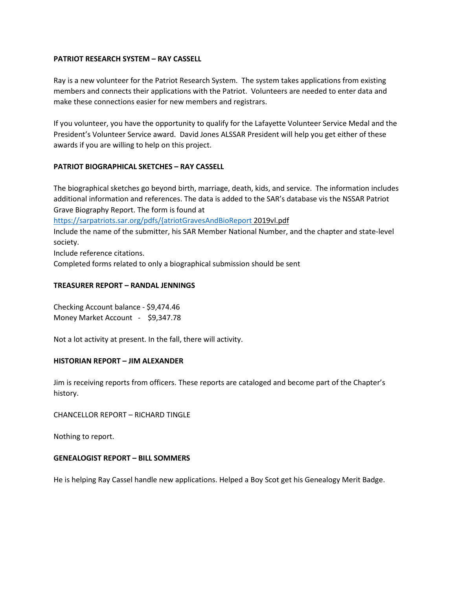## **PATRIOT RESEARCH SYSTEM – RAY CASSELL**

Ray is a new volunteer for the Patriot Research System. The system takes applications from existing members and connects their applications with the Patriot. Volunteers are needed to enter data and make these connections easier for new members and registrars.

If you volunteer, you have the opportunity to qualify for the Lafayette Volunteer Service Medal and the President's Volunteer Service award. David Jones ALSSAR President will help you get either of these awards if you are willing to help on this project.

## **PATRIOT BIOGRAPHICAL SKETCHES – RAY CASSELL**

The biographical sketches go beyond birth, marriage, death, kids, and service. The information includes additional information and references. The data is added to the SAR's database vis the NSSAR Patriot Grave Biography Report. The form is found at

[https://sarpatriots.sar.org/pdfs/{atriotGravesAndBioReport](https://sarpatriots.sar.org/pdfs/%7batriotGravesAndBioReport) 2019vl.pdf

Include the name of the submitter, his SAR Member National Number, and the chapter and state-level society.

Include reference citations.

Completed forms related to only a biographical submission should be sent

## **TREASURER REPORT – RANDAL JENNINGS**

Checking Account balance - \$9,474.46 Money Market Account - \$9,347.78

Not a lot activity at present. In the fall, there will activity.

## **HISTORIAN REPORT – JIM ALEXANDER**

Jim is receiving reports from officers. These reports are cataloged and become part of the Chapter's history.

CHANCELLOR REPORT – RICHARD TINGLE

Nothing to report.

#### **GENEALOGIST REPORT – BILL SOMMERS**

He is helping Ray Cassel handle new applications. Helped a Boy Scot get his Genealogy Merit Badge.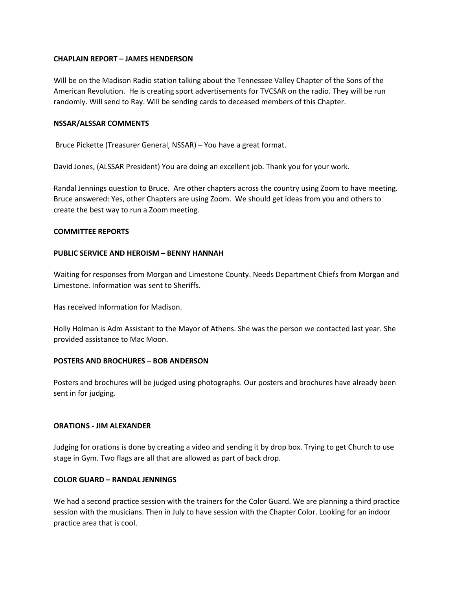## **CHAPLAIN REPORT – JAMES HENDERSON**

Will be on the Madison Radio station talking about the Tennessee Valley Chapter of the Sons of the American Revolution. He is creating sport advertisements for TVCSAR on the radio. They will be run randomly. Will send to Ray. Will be sending cards to deceased members of this Chapter.

#### **NSSAR/ALSSAR COMMENTS**

Bruce Pickette (Treasurer General, NSSAR) – You have a great format.

David Jones, (ALSSAR President) You are doing an excellent job. Thank you for your work.

Randal Jennings question to Bruce. Are other chapters across the country using Zoom to have meeting. Bruce answered: Yes, other Chapters are using Zoom. We should get ideas from you and others to create the best way to run a Zoom meeting.

#### **COMMITTEE REPORTS**

## **PUBLIC SERVICE AND HEROISM – BENNY HANNAH**

Waiting for responses from Morgan and Limestone County. Needs Department Chiefs from Morgan and Limestone. Information was sent to Sheriffs.

Has received Information for Madison.

Holly Holman is Adm Assistant to the Mayor of Athens. She was the person we contacted last year. She provided assistance to Mac Moon.

#### **POSTERS AND BROCHURES – BOB ANDERSON**

Posters and brochures will be judged using photographs. Our posters and brochures have already been sent in for judging.

### **ORATIONS - JIM ALEXANDER**

Judging for orations is done by creating a video and sending it by drop box. Trying to get Church to use stage in Gym. Two flags are all that are allowed as part of back drop.

# **COLOR GUARD – RANDAL JENNINGS**

We had a second practice session with the trainers for the Color Guard. We are planning a third practice session with the musicians. Then in July to have session with the Chapter Color. Looking for an indoor practice area that is cool.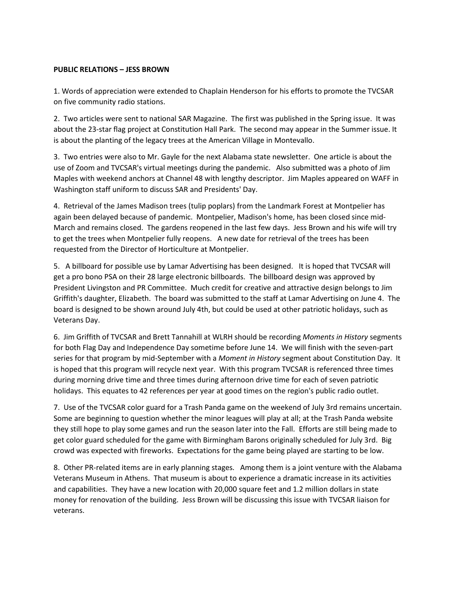# **PUBLIC RELATIONS – JESS BROWN**

1. Words of appreciation were extended to Chaplain Henderson for his efforts to promote the TVCSAR on five community radio stations.

2. Two articles were sent to national SAR Magazine. The first was published in the Spring issue. It was about the 23-star flag project at Constitution Hall Park. The second may appear in the Summer issue. It is about the planting of the legacy trees at the American Village in Montevallo.

3. Two entries were also to Mr. Gayle for the next Alabama state newsletter. One article is about the use of Zoom and TVCSAR's virtual meetings during the pandemic. Also submitted was a photo of Jim Maples with weekend anchors at Channel 48 with lengthy descriptor. Jim Maples appeared on WAFF in Washington staff uniform to discuss SAR and Presidents' Day.

4. Retrieval of the James Madison trees (tulip poplars) from the Landmark Forest at Montpelier has again been delayed because of pandemic. Montpelier, Madison's home, has been closed since mid-March and remains closed. The gardens reopened in the last few days. Jess Brown and his wife will try to get the trees when Montpelier fully reopens. A new date for retrieval of the trees has been requested from the Director of Horticulture at Montpelier.

5. A billboard for possible use by Lamar Advertising has been designed. It is hoped that TVCSAR will get a pro bono PSA on their 28 large electronic billboards. The billboard design was approved by President Livingston and PR Committee. Much credit for creative and attractive design belongs to Jim Griffith's daughter, Elizabeth. The board was submitted to the staff at Lamar Advertising on June 4. The board is designed to be shown around July 4th, but could be used at other patriotic holidays, such as Veterans Day.

6. Jim Griffith of TVCSAR and Brett Tannahill at WLRH should be recording *Moments in History* segments for both Flag Day and Independence Day sometime before June 14. We will finish with the seven-part series for that program by mid-September with a *Moment in History* segment about Constitution Day. It is hoped that this program will recycle next year. With this program TVCSAR is referenced three times during morning drive time and three times during afternoon drive time for each of seven patriotic holidays. This equates to 42 references per year at good times on the region's public radio outlet.

7. Use of the TVCSAR color guard for a Trash Panda game on the weekend of July 3rd remains uncertain. Some are beginning to question whether the minor leagues will play at all; at the Trash Panda website they still hope to play some games and run the season later into the Fall. Efforts are still being made to get color guard scheduled for the game with Birmingham Barons originally scheduled for July 3rd. Big crowd was expected with fireworks. Expectations for the game being played are starting to be low.

8. Other PR-related items are in early planning stages. Among them is a joint venture with the Alabama Veterans Museum in Athens. That museum is about to experience a dramatic increase in its activities and capabilities. They have a new location with 20,000 square feet and 1.2 million dollars in state money for renovation of the building. Jess Brown will be discussing this issue with TVCSAR liaison for veterans.